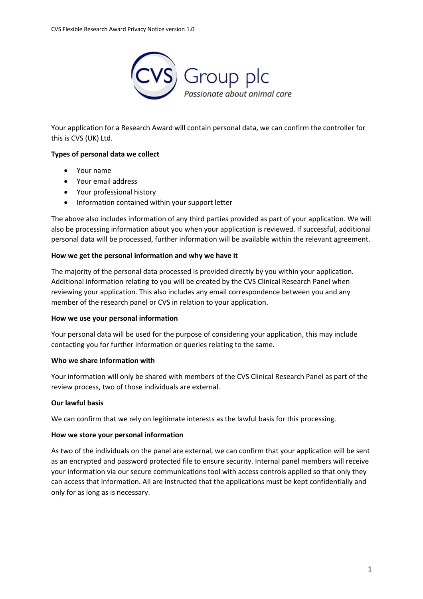

Your application for a Research Award will contain personal data, we can confirm the controller for this is CVS (UK) Ltd.

# **Types of personal data we collect**

- Your name
- Your email address
- Your professional history
- Information contained within your support letter

The above also includes information of any third parties provided as part of your application. We will also be processing information about you when your application is reviewed. If successful, additional personal data will be processed, further information will be available within the relevant agreement.

## **How we get the personal information and why we have it**

The majority of the personal data processed is provided directly by you within your application. Additional information relating to you will be created by the CVS Clinical Research Panel when reviewing your application. This also includes any email correspondence between you and any member of the research panel or CVS in relation to your application.

## **How we use your personal information**

Your personal data will be used for the purpose of considering your application, this may include contacting you for further information or queries relating to the same.

## **Who we share information with**

Your information will only be shared with members of the CVS Clinical Research Panel as part of the review process, two of those individuals are external.

## **Our lawful basis**

We can confirm that we rely on legitimate interests as the lawful basis for this processing.

## **How we store your personal information**

As two of the individuals on the panel are external, we can confirm that your application will be sent as an encrypted and password protected file to ensure security. Internal panel members will receive your information via our secure communications tool with access controls applied so that only they can access that information. All are instructed that the applications must be kept confidentially and only for as long as is necessary.